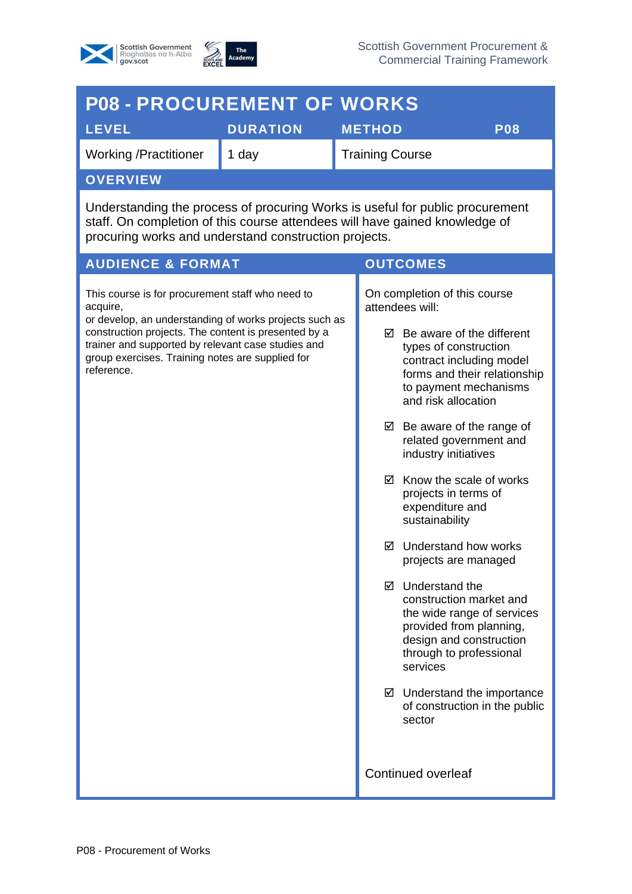



| <b>P08 - PROCUREMENT OF WORKS</b>                                                                                                                                                                                                                                                                      |                 |               |                                                                                                                                                                                                                                                                                                                                                                                                                                                                                                                                                                                                                                                                                                                                  |            |
|--------------------------------------------------------------------------------------------------------------------------------------------------------------------------------------------------------------------------------------------------------------------------------------------------------|-----------------|---------------|----------------------------------------------------------------------------------------------------------------------------------------------------------------------------------------------------------------------------------------------------------------------------------------------------------------------------------------------------------------------------------------------------------------------------------------------------------------------------------------------------------------------------------------------------------------------------------------------------------------------------------------------------------------------------------------------------------------------------------|------------|
| <b>LEVEL</b>                                                                                                                                                                                                                                                                                           | <b>DURATION</b> | <b>METHOD</b> |                                                                                                                                                                                                                                                                                                                                                                                                                                                                                                                                                                                                                                                                                                                                  | <b>P08</b> |
| <b>Working /Practitioner</b>                                                                                                                                                                                                                                                                           | 1 day           |               | <b>Training Course</b>                                                                                                                                                                                                                                                                                                                                                                                                                                                                                                                                                                                                                                                                                                           |            |
| <b>OVERVIEW</b>                                                                                                                                                                                                                                                                                        |                 |               |                                                                                                                                                                                                                                                                                                                                                                                                                                                                                                                                                                                                                                                                                                                                  |            |
| Understanding the process of procuring Works is useful for public procurement<br>staff. On completion of this course attendees will have gained knowledge of<br>procuring works and understand construction projects.                                                                                  |                 |               |                                                                                                                                                                                                                                                                                                                                                                                                                                                                                                                                                                                                                                                                                                                                  |            |
| <b>AUDIENCE &amp; FORMAT</b><br><b>OUTCOMES</b>                                                                                                                                                                                                                                                        |                 |               |                                                                                                                                                                                                                                                                                                                                                                                                                                                                                                                                                                                                                                                                                                                                  |            |
| This course is for procurement staff who need to<br>acquire,<br>or develop, an understanding of works projects such as<br>construction projects. The content is presented by a<br>trainer and supported by relevant case studies and<br>group exercises. Training notes are supplied for<br>reference. |                 |               | On completion of this course<br>attendees will:<br>$\boxtimes$ Be aware of the different<br>types of construction<br>contract including model<br>forms and their relationship<br>to payment mechanisms<br>and risk allocation<br>$\boxtimes$ Be aware of the range of<br>related government and<br>industry initiatives<br>Know the scale of works<br>☑<br>projects in terms of<br>expenditure and<br>sustainability<br>Understand how works<br>☑<br>projects are managed<br>Understand the<br>⊠<br>construction market and<br>the wide range of services<br>provided from planning,<br>design and construction<br>through to professional<br>services<br>$\boxtimes$ Understand the importance<br>of construction in the public |            |
|                                                                                                                                                                                                                                                                                                        |                 |               | sector<br>Continued overleaf                                                                                                                                                                                                                                                                                                                                                                                                                                                                                                                                                                                                                                                                                                     |            |